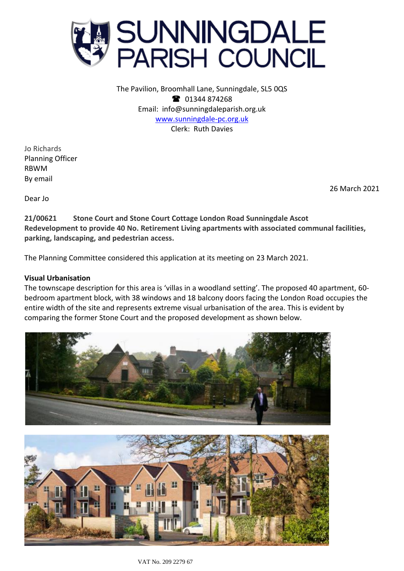

The Pavilion, Broomhall Lane, Sunningdale, SL5 0QS <sup>2</sup> 01344 874268 Email: info@sunningdaleparish.org.uk [www.sunningdale-pc.org.uk](http://www.sunningdale-pc.org.uk/) Clerk: Ruth Davies

Jo Richards Planning Officer RBWM By email

26 March 2021

Dear Jo

**21/00621 Stone Court and Stone Court Cottage London Road Sunningdale Ascot Redevelopment to provide 40 No. Retirement Living apartments with associated communal facilities, parking, landscaping, and pedestrian access.**

The Planning Committee considered this application at its meeting on 23 March 2021.

# **Visual Urbanisation**

The townscape description for this area is 'villas in a woodland setting'. The proposed 40 apartment, 60 bedroom apartment block, with 38 windows and 18 balcony doors facing the London Road occupies the entire width of the site and represents extreme visual urbanisation of the area. This is evident by comparing the former Stone Court and the proposed development as shown below.

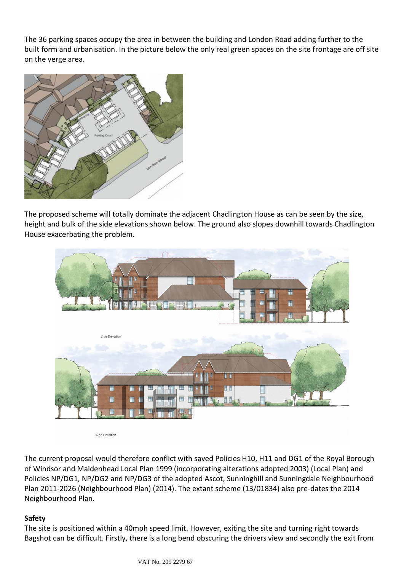The 36 parking spaces occupy the area in between the building and London Road adding further to the built form and urbanisation. In the picture below the only real green spaces on the site frontage are off site on the verge area.



The proposed scheme will totally dominate the adjacent Chadlington House as can be seen by the size, height and bulk of the side elevations shown below. The ground also slopes downhill towards Chadlington House exacerbating the problem.



Side Elevation

The current proposal would therefore conflict with saved Policies H10, H11 and DG1 of the Royal Borough of Windsor and Maidenhead Local Plan 1999 (incorporating alterations adopted 2003) (Local Plan) and Policies NP/DG1, NP/DG2 and NP/DG3 of the adopted Ascot, Sunninghill and Sunningdale Neighbourhood Plan 2011-2026 (Neighbourhood Plan) (2014). The extant scheme (13/01834) also pre-dates the 2014 Neighbourhood Plan.

# **Safety**

The site is positioned within a 40mph speed limit. However, exiting the site and turning right towards Bagshot can be difficult. Firstly, there is a long bend obscuring the drivers view and secondly the exit from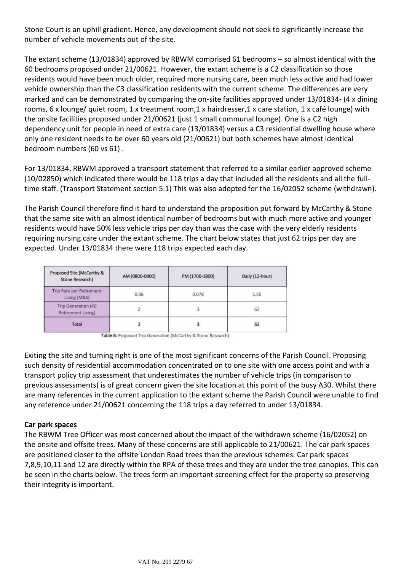Stone Court is an uphill gradient. Hence, any development should not seek to significantly increase the number of vehicle movements out of the site.

The extant scheme (13/01834) approved by RBWM comprised 61 bedrooms – so almost identical with the 60 bedrooms proposed under 21/00621. However, the extant scheme is a C2 classification so those residents would have been much older, required more nursing care, been much less active and had lower vehicle ownership than the C3 classification residents with the current scheme. The differences are very marked and can be demonstrated by comparing the on-site facilities approved under 13/01834- (4 x dining rooms, 6 x lounge/ quiet room, 1 x treatment room,1 x hairdresser,1 x care station, 1 x café lounge) with the onsite facilities proposed under 21/00621 (just 1 small communal lounge). One is a C2 high dependency unit for people in need of extra care (13/01834) versus a C3 residential dwelling house where only one resident needs to be over 60 years old (21/00621) but both schemes have almost identical bedroom numbers (60 vs 61) .

For 13/01834, RBWM approved a transport statement that referred to a similar earlier approved scheme (10/02850) which indicated there would be 118 trips a day that included all the residents and all the fulltime staff. (Transport Statement section 5.1) This was also adopted for the 16/02052 scheme (withdrawn).

The Parish Council therefore find it hard to understand the proposition put forward by McCarthy & Stone that the same site with an almost identical number of bedrooms but with much more active and younger residents would have 50% less vehicle trips per day than was the case with the very elderly residents requiring nursing care under the extant scheme. The chart below states that just 62 trips per day are expected. Under 13/01834 there were 118 trips expected each day.

| Proposed Site (McCarthy &<br>Stone Research) | AM (0800-0900) | PM (1700-1800) | Daily (12-hour) |  |  |
|----------------------------------------------|----------------|----------------|-----------------|--|--|
| Trip Rate per Retirement<br>Living (M&S)     | 0.06           | 0.078          | 1.55            |  |  |
| Trip Generation (40<br>Retirement Living)    |                |                | 62              |  |  |
| Total                                        |                |                | 62              |  |  |

Table 6: Proposed Trip Generation (McCarthy & Stone Research)

Exiting the site and turning right is one of the most significant concerns of the Parish Council. Proposing such density of residential accommodation concentrated on to one site with one access point and with a transport policy trip assessment that underestimates the number of vehicle trips (in comparison to previous assessments) is of great concern given the site location at this point of the busy A30. Whilst there are many references in the current application to the extant scheme the Parish Council were unable to find any reference under 21/00621 concerning the 118 trips a day referred to under 13/01834.

# **Car park spaces**

The RBWM Tree Officer was most concerned about the impact of the withdrawn scheme (16/02052) on the onsite and offsite trees. Many of these concerns are still applicable to 21/00621. The car park spaces are positioned closer to the offsite London Road trees than the previous schemes. Car park spaces 7,8,9,10,11 and 12 are directly within the RPA of these trees and they are under the tree canopies. This can be seen in the charts below. The trees form an important screening effect for the property so preserving their integrity is important.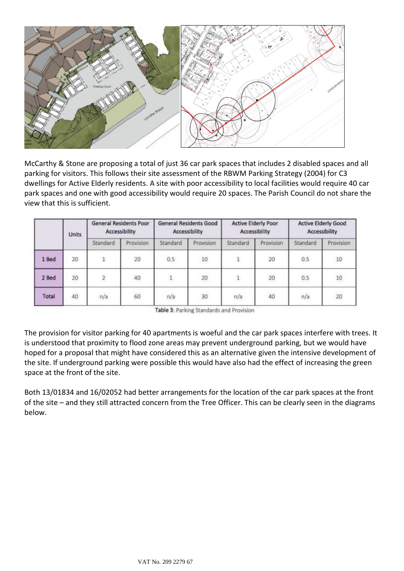

McCarthy & Stone are proposing a total of just 36 car park spaces that includes 2 disabled spaces and all parking for visitors. This follows their site assessment of the RBWM Parking Strategy (2004) for C3 dwellings for Active Elderly residents. A site with poor accessibility to local facilities would require 40 car park spaces and one with good accessibility would require 20 spaces. The Parish Council do not share the view that this is sufficient.

|       | Units | <b>General Residents Poor</b><br>Accessibility |           | General Residents Good<br>Accessibility |           | Active Elderly Poor<br>Accessibility |           | <b>Active Elderly Good</b><br>Accessibility |           |
|-------|-------|------------------------------------------------|-----------|-----------------------------------------|-----------|--------------------------------------|-----------|---------------------------------------------|-----------|
|       |       | Standard                                       | Provision | Standard                                | Provision | Standard                             | Provision | Standard                                    | Provision |
| 1 Bed | 20    |                                                | 20        | 0.5                                     | 10        | 1                                    | 20        | 0.5                                         | 10        |
| 2 Bed | 20    |                                                | 40        |                                         | 20        | $\ddot{\phantom{1}}$                 | 20        | 0.5                                         | $10\,$    |
| Total | 40    | n/a                                            | 60        | n/a                                     | 30        | n/a                                  | 40        | n/a                                         | 20        |

Table 3: Parking Standards and Provision

The provision for visitor parking for 40 apartments is woeful and the car park spaces interfere with trees. It is understood that proximity to flood zone areas may prevent underground parking, but we would have hoped for a proposal that might have considered this as an alternative given the intensive development of the site. If underground parking were possible this would have also had the effect of increasing the green space at the front of the site.

Both 13/01834 and 16/02052 had better arrangements for the location of the car park spaces at the front of the site – and they still attracted concern from the Tree Officer. This can be clearly seen in the diagrams below.